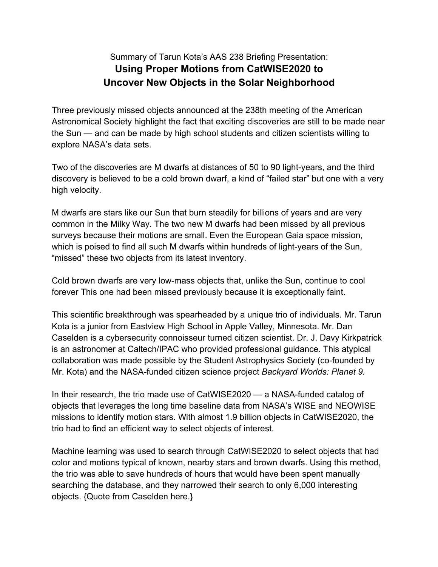## Summary of Tarun Kota's AAS 238 Briefing Presentation: **Using Proper Motions from CatWISE2020 to Uncover New Objects in the Solar Neighborhood**

Three previously missed objects announced at the 238th meeting of the American Astronomical Society highlight the fact that exciting discoveries are still to be made near the Sun — and can be made by high school students and citizen scientists willing to explore NASA's data sets.

Two of the discoveries are M dwarfs at distances of 50 to 90 light-years, and the third discovery is believed to be a cold brown dwarf, a kind of "failed star" but one with a very high velocity.

M dwarfs are stars like our Sun that burn steadily for billions of years and are very common in the Milky Way. The two new M dwarfs had been missed by all previous surveys because their motions are small. Even the European Gaia space mission, which is poised to find all such M dwarfs within hundreds of light-years of the Sun, "missed" these two objects from its latest inventory.

Cold brown dwarfs are very low-mass objects that, unlike the Sun, continue to cool forever This one had been missed previously because it is exceptionally faint.

This scientific breakthrough was spearheaded by a unique trio of individuals. Mr. Tarun Kota is a junior from Eastview High School in Apple Valley, Minnesota. Mr. Dan Caselden is a cybersecurity connoisseur turned citizen scientist. Dr. J. Davy Kirkpatrick is an astronomer at Caltech/IPAC who provided professional guidance. This atypical collaboration was made possible by the Student Astrophysics Society (co-founded by Mr. Kota) and the NASA-funded citizen science project *Backyard Worlds: Planet 9.*

In their research, the trio made use of CatWISE2020 — a NASA-funded catalog of objects that leverages the long time baseline data from NASA's WISE and NEOWISE missions to identify motion stars. With almost 1.9 billion objects in CatWISE2020, the trio had to find an efficient way to select objects of interest.

Machine learning was used to search through CatWISE2020 to select objects that had color and motions typical of known, nearby stars and brown dwarfs. Using this method, the trio was able to save hundreds of hours that would have been spent manually searching the database, and they narrowed their search to only 6,000 interesting objects. {Quote from Caselden here.}